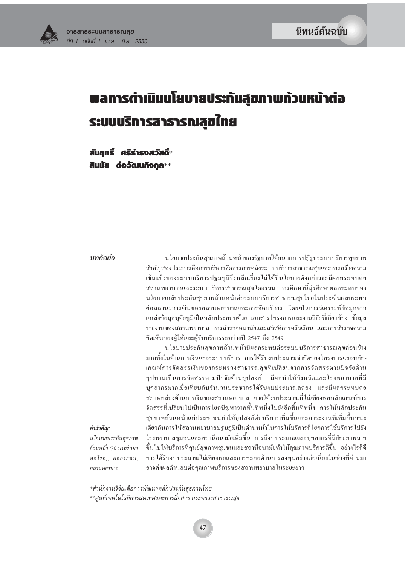

# พลการดำเนินนโยบายประกันสุขภาพก้วนหน้าต่อ ระบบบริการสารารณสุขใทย

สัมถทธิ์ ศรีธำรงสวัสดิ์\* สินมัย ต่อวัฒนกิจกุล\*\*

#### บทดัดย่อ

คำสำคัญ:

สถานพยาบาล

นโยบายประกันสุขภาพถ้วนหน้าของรัฐบาลใค้ผนวกการปฏิรูประบบบริการสุขภาพ สำคัญสองประการคือการบริหารจัดการการคลังระบบบริการสาธารณสุขและการสร้างความ เข้มแข็งของระบบบริการปฐมภูมิจึงหลีกเลี่ยงไม่ได้ที่นโยบายดังกล่าวจะมีผลกระทบต่อ ี่ สถานพยาบาลและระบบบริการสาธารณสุขโดยรวม การศึกษานี้มุ่งศึกษาผลกระทบของ นโยบายหลักประกันสุขภาพถ้วนหน้าต่อระบบบริการสาธารณสุขไทยในประเด็นผลกระทบ ต่อสถานะการเงินของสถานพยาบาลและการจัดบริการ โดยเป็นการวิเคราะห์ข้อมูลจาก แหล่งข้อมูลทุติยภูมิเป็นหลักประกอบค้วย เอกสารโครงการและงานวิจัยที่เกี่ยวข้อง ข้อมูล รายงานของสถานพยาบาล การสำรวจอนามัยและสวัสดิการครัวเรือน และการสำรวจความ คิดเห็นของผู้ให้และผู้รับบริการระหว่างปี 2547 ถึง 2549

นโยบายประกันสุขภาพถ้วนหน้ามีผลกระทบต่อระบบบริการสาธารณสุขค่อนข้าง มากทั้งในด้านการเงินและระบบบริการ การได้รับงบประมาณจำกัดของโครงการและหลัก-เกณฑ์การจัดสรรเงินของกระทรวงสาธารณสุขที่เปลี่ยนจากการจัดสรรตามปัจจัยด้าน ้อุปทานเป็นการจัดสรรตามปัจจัยด้านอุปสงค์ มีผลทำให้จังหวัดและโรงพยาบาลที่มี บุคลากรมากเมื่อเทียบกับจำนวนประชากรใด้รับงบประมาณลดลง และมีผลกระทบต่อ สภาพคล่องด้านการเงินของสถานพยาบาล ภายใต้งบประมาณที่ไม่เพียงพอหลักเกณฑ์การ จัดสรรที่เปลี่ยนไปเป็นการโยกปัญหาจากพื้นที่หนึ่งไปยังอีกพื้นที่หนึ่ง การให้หลักประกัน สุขภาพถ้วนหน้าแก่ประชาชนทำให้อุปสงค์ต่อบริการเพิ่มขึ้นและภาระงานที่เพิ่มขึ้นขณะ เดียวกันการให้สถานพยาบาลปฐมภูมิเป็นด่านหน้าในการให้บริการก็โยกการใช้บริการไปยัง โรงพยาบาลชุมชนและสถานีอนามัยเพิ่มขึ้น การมีงบประมาณและบุคลากรที่มีศักยภาพมาก นโยบายประกันสขภาพ ขึ้นไปให้บริการที่ศูนย์สุขภาพชุมชนและสถานีอนามัยทำให้คุณภาพบริการดีขึ้น อย่างไรก็ดี ถ้วนหน้า (30 บาทรักษา ทกโรค), ผลกระทบ, การใด้รับงบประมาณใม่เพียงพอและการชะลอด้านการลงทุนอย่างต่อเนื่องในช่วงที่ผ่านมา อาจส่งผลด้านลบต่อคุณภาพบริการของสถานพยาบาลในระยะยาว

\*สำนักงานวิจัยเพื่อการพัฒนาหลักประกันสุขภาพไทย

\*\*ศูนย์เทคโนโลยีสารสนเทศและการสื่อสาร กระทรวงสาธารณสุข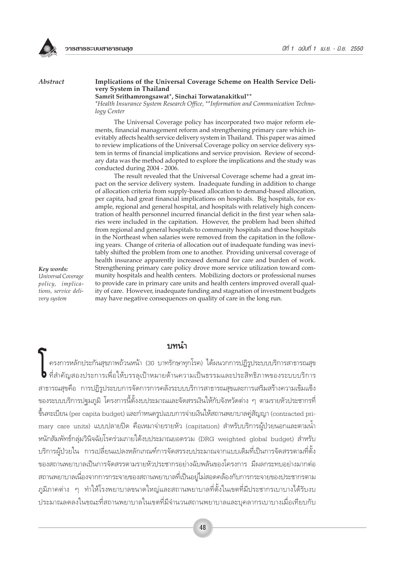

#### **Abstract**

#### Implications of the Universal Coverage Scheme on Health Service Delivery System in Thailand

#### Samrit Srithamrongsawat\*, Sinchai Torwatanakitkul\*\*

\*Health Insurance System Research Office, \*\*Information and Communication Technology Center

The Universal Coverage policy has incorporated two major reform elements, financial management reform and strengthening primary care which inevitably affects health service delivery system in Thailand. This paper was aimed to review implications of the Universal Coverage policy on service delivery system in terms of financial implications and service provision. Review of secondary data was the method adopted to explore the implications and the study was conducted during 2004 - 2006.

The result revealed that the Universal Coverage scheme had a great impact on the service delivery system. Inadequate funding in addition to change of allocation criteria from supply-based allocation to demand-based allocation, per capita, had great financial implications on hospitals. Big hospitals, for example, regional and general hospital, and hospitals with relatively high concentration of health personnel incurred financial deficit in the first year when salaries were included in the capitation. However, the problem had been shifted from regional and general hospitals to community hospitals and those hospitals in the Northeast when salaries were removed from the capitation in the following years. Change of criteria of allocation out of inadequate funding was inevitably shifted the problem from one to another. Providing universal coverage of health insurance apparently increased demand for care and burden of work. Strengthening primary care policy drove more service utilization toward community hospitals and health centers. Mobilizing doctors or professional nurses to provide care in primary care units and health centers improved overall quality of care. However, inadequate funding and stagnation of investment budgets may have negative consequences on quality of care in the long run.

Key words: Universal Coverage policy, implications, service delivery system

## ๚๚นำ

ครงการหลักประกันสุขภาพถ้วนหน้า (30 บาทรักษาทุกโรค) ได้ผนวกการปฏิรูประบบบริการสาธารณสุข ♦ ที่สำคัญสองประการเพื่อให้บรรลุเป้าหมายด้านความเป็นธรรมและประสิทธิภาพของระบบบริการ สาธารณสุขคือ การปฏิรูประบบการจัดการการคลังระบบบริการสาธารณสุขและการเสริมสร้างความเข้มแข็ง ของระบบบริการปฐมภูมิ โครงการนี้ตั้งงบประมาณและจัดสรรเงินให้กับจังหวัดต่าง ๆ ตามรายหัวประชากรที่ ขึ้นทะเบียน (per capita budget) และกำหนดรูปแบบการจ่ายเงินให้สถานพยาบาลคู่สัญญา (contracted primary care units) แบบปลายปิด คือเหมาจ่ายรายหัว (capitation) สำหรับบริการผู้ป่วยนอกและตามน้ำ หนักสัมพัทธ์กลุ่มวินิจฉัยโรคร่วมภายใต้งบประมาณยอดรวม (DRG weighted global budget) สำหรับ ้บริการผู้ป่วยใน การเปลี่ยนแปลงหลักเกณฑ์การจัดสรรงบประมาณจากแบบเดิมที่เป็นการจัดสรรตามที่ตั้ง ของสถานพยาบาลเป็นการจัดสรรตามรายหัวประชากรอย่างฉับพลันของโครงการ มีผลกระทบอย่างมากต่อ ิสถานพยาบาลเนื่องจากการกระจายของสถานพยาบาลที่เป็นอยู่ไม่สอดคล้องกับการกระจายของประชากรตาม ึภูมิภาคต่าง ๆ ทำให้โรงพยาบาลขนาดใหญ่และสถานพยาบาลที่ตั้งในเขตที่มีประชากรเบาบางได้รับงบ ประมาณลดลงในขณะที่สถานพยาบาลในเขตที่มีจำนวนสถานพยาบาลและบุคลากรเบาบางเมื่อเทียบกับ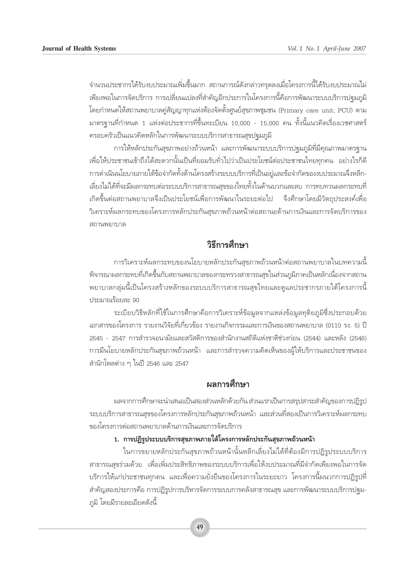้จำนวนประชากรได้รับงบประมาณเพิ่มขึ้นมาก สถานการณ์ดังกล่าวทรุดลงเมื่อโครงการนี้ได้รับงบประมาณไม่ ้ เพียงพอในการจัดบริการ การเปลี่ยนแปลงที่สำคัญอีกประการในโครงการนี้คือการพัฒนาระบบบริการปจุมภูมิ โดยกำหนดให้สถานพยาบาลคู่สัญญาทุกแห่งต้องจัดตั้งศูนย์สุขภาพชุมชน (Primary care unit; PCU) ตาม ้ มาตรฐานที่กำหนด 1 แห่งต่อประชากรที่ขึ้นทะเบียน 10,000 - 15,000 คน ทั้งนี้แนวคิดเรื่องเวชศาสตร์ ู้ ครอบครัวเป็นแนวคิดหลักในการพัฒนาระบบบริการสาธารณสุขปฐมภูมิ

ึ การให้หลักประกันสุขภาพอย่างถ้วนหน้า และการพัฒนาระบบบริการปฐมภูมิที่มีคุณภาพมาตรฐาน ้<br>เพื่อให้ประชาชนเข้าถึงได้สะดวกนั้นเป็นที่ยอมรับทั่วไปว่าเป็นประโยชน์ต่อประชาชนไทยทกคน อย่างไรก็ดี ำการดำเนินนโยบายภายใต้ข้อจำกัดทั้งด้านโครงสร้างระบบบริการที่เป็นอยู่และข้อจำกัดของงบประมาณจึงหลีก-ี่<br>เลี้ยงไม่ได้ที่จะมีผลกระทบต่อระบบบริการสาธารณสุขของไทยทั้งในด้านบวกและลบ การทบทวนผลกระทบที่ ี เกิดขึ้นต่อสถานพยาบาลจึงเป็นประโยชน์เพื่อการพัฒนาในระยะต่อไป จึงศึกษาโดยมีวัตถุประสงค์เพื่อ วิเคราะห์ผลกระทบของโครงการหลักประกันสุขภาพถ้วนหน้าต่อสถานะด้านการเงินและการจัดบริการของ สถานพยาบาล

# วิธีการศึกษา

ึ การวิเคราะห์ผลกระทบของนโยบายหลักประกันสุขภาพถ้วนหน้าต่อสถานพยาบาลในบทความนี้ ู้พิจารณาผลกระทบที่เกิดขึ้นกับสถานพยาบาลของกระทรวงสาธารณสุขในส่วนภูมิภาคเป็นหลักเนื่องจากสถาน พยาบาลกลุ่มนี้เป็นโครงสร้างหลักของระบบบริการสาธารณสุขไทยและดูแลประชากรภายใต้โครงการนี้ ประมาณร้อยละ 90

ระเบียบวิธีหลักที่ใช้ในการศึกษาคือการวิเคราะห์ข้อมูลจากแหล่งข้อมูลทุติยภูมิซึ่งประกอบด้วย เอกสารของโครงการ รายงานวิจัยที่เกี่ยวข้อง รายงานกิจกรรมและการเงินของสถานพยาบาล (0110 รง. 5) ปี 2545 - 2547 การสำรวจอนามัยและสวัสดิการของสำนักงานสถิติแห่งชาติช่วงก่อน (2544) และหลัง (2546) ำการมีนโยบายหลักประกันสุขภาพถ้วนหน้า และการสำรวจความคิดเห็นของผู้ให้บริการและประชาชนของ ี สำนักโพลต่าง ๆ ในปี 2546 และ 2547

# **ผลการศึก**ฯ∗า

ผลจากการศึกษาจะนำเสนอเป็นสองส่วนหลักด้วยกัน ส่วนแรกเป็นการสรุปสาระสำคัญของการปฏิรูป ้ระบบบริการสาธารณสขของโครงการหลักประกันสขภาพถ้วนหน้า และส่วนที่สองเป็นการวิเคราะห์ผลกระทบ ของโครงการต่อสถานพยาบาลด้านการเงินและการจัดบริการ

## 1. การปฏิรูประบบบริการสุขภาพภายใต้โครงการหลักประกันสุขภาพถ้วนหน้า

ี่ในการขยายหลักประกันสุขภาพถ้วนหน้านั้นหลีกเลี่ยงไม่ได้ที่ต้องมีการปฏิรูประบบบริการ สาธารณสุขร่วมด้วย เพื่อเพิ่มประสิทธิภาพของระบบบริการเพื่อให้งบประมาณที่มีจำกัดเพียงพอในการจัด ึบริการให้แก่ประชาชนทุกคน และเพื่อความยั่งยืนของโครงการในระยะยาว โครงการนี้ผนวกการปฏิรูปที่ สำคัญสองประการคือ การปฏิรูปการบริหารจัดการระบบการคลังสาธารณสุข และการพัฒนาระบบบริการปฐม-ฏมิ โดยมีรายละเอียดดังนี้

49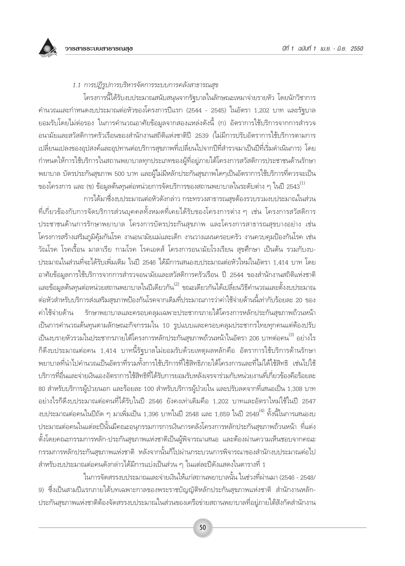

## 1.1 การปฏิรูปการบริหารจัดการระบบการคลังสาธารณสุข

โครงการนี้ได้รับงบประมาณสนับสนุนจากรัฐบาลในลักษณะเหมาจ่ายรายหัว โดยนักวิชาการ ์ คำนวณและกำหนดงบประมาณต่อหัวของโครงการปีแรก (2544 - 2545) ในอัตรา 1,202 บาท และรัฐบาล ียอมรับโดยไม่ต่อรอง ในการคำนวณอาศัยข้อมูลจากสองแหล่งดังนี้ (ก) อัตราการใช้บริการจากการสำรวจ ้อนามัยและสวัสดิการครัวเรือนของสำนักงานสถิติแห่งชาติปี 2539 (ไม่มีการปรับอัตราการใช้บริการตามการ ้เปลี่ยนแปลงของอุปสงค์และอุปทานต่อบริการสุขภาพที่เปลี่ยนไปจากปีที่สำรวจมาเป็นปีที่เริ่มดำเนินการ) โดย กำหนดให้การใช้บริการในสถานพยาบาลทุกประเภทของผู้ที่อยู่ภายใต้โครงการสวัสดิการประชาชนด้านรักษา ้พยาบาล บัตรประกันสุขภาพ 500 บาท และผู้ไม่มีหลักประกันสุขภาพใดๆเป็นอัตราการใช้บริการที่ควรจะเป็น ของโครงการ และ (ข) ข้อมูลต้นทุนต่อหน่วยการจัดบริการของสถานพยาบาลในระดับต่าง ๆ ในปี 2543 $^{\left( 1\right) }$ 

ิการได้มาซึ่งงบประมาณต่อหัวดังกล่าว กระทรวงสาธารณสุขต้องรวบรวมงบประมาณในส่วน ้ที่เกี่ยวข้องกับการจัดบริการส่วนบุคคลทั้งหมดที่เคยได้รับของโครงการต่าง ๆ เช่น โครงการสวัสดิการ ประชาชนด้านการรักษาพยาบาล โครงการบัตรประกันสุขภาพ และโครงการสาธารณสุขบางอย่าง เช่น โครงการสร้างเสริมภูมิคุ้มกันโรค งานอนามัยแม่และเด็ก งานวางแผนครอบครัว งานควบคุมป้องกันโรค เช่น วัณโรค โรคเรื้อน มาลาเรีย กามโรค โรคเอดส์ โครงการอนามัยโรงเรียน สุขศึกษา เป็นต้น รวมกับงบ-ประมาณในส่วนที่จะได้รับเพิ่มเติม ในปี 2546 ได้มีการเสนองบประมาณต่อหัวใหม่ในอัตรา 1,414 บาท โดย อาศัยข้อมูลการใช้บริการจากการสำรวจอนามัยและสวัสดิการครัวเรือน ปี 2544 ของสำนักงานสถิติแห่งชาติ และข้อมูลต้นทุนต่อหน่วยสถานพยาบาลในปีเดียวกัน<sup>(2)</sup> ขณะเดียวกันได้เปลี่ยนวิธีคำนวณและตั้งงบประมาณ ต่อหัวสำหรับบริการส่งเสริมสุขภาพป้องกันโรคจากเดิมที่ประมาณการว่าค่าใช้จ่ายด้านนี้เท่ากับร้อยละ 20 ของ ค่าใช้จ่ายด้าน ้รักษาพยาบาลและครอบคลุมเฉพาะประชากรภายใต้โครงการหลักประกันสุขภาพถ้วนหน้า เป็นการคำนวณต้นทุนตามลักษณะกิจกรรมใน 10 รูปแบบและครอบคลุมประชากรไทยทุกคนแต่ต้องปรับ ้เป็นงบรายหัวรวมในประชากรภายใต้โครงการหลักประกันสุขภาพถ้วนหน้าในอัตรา 206 บาทต่อคน<sup>(3)</sup> อย่างไร ก็ดึงบประมาณต่อคน 1,414 บาทนี้รัฐบาลไม่ยอมรับด้วยเหตุผลหลักคือ อัตราการใช้บริการด้านรักษา ้พยาบาลที่นำไปคำนวณเป็นอัตราที่รวมทั้งการใช้บริการที่ใช้สิทธิภายใต้โครงการและที่ไม่ได้ใช้สิทธิ เช่นไปใช้ ำเริการที่ลื่นและจ่ายเงินเองอัตราการใช้สิทธิ์ที่ได้รับการยอมรับหลังเจรจาร่วมกับหน่วยงานที่เกี่ยวข้องคือร้อยละ 80 สำหรับบริการผู้ป่วยนอก และร้อยละ 100 สำหรับบริการผู้ป่วยใน และปรับลดจากที่เสนอเป็น 1,308 บาท ้อย่างไรก็ดึงบประมาณต่อคนที่ได้รับในปี 2546 ยังคงเท่าเดิมคือ 1,202 บาทและอัตราใหม่ใช้ในปี 2547 ึงบประมาณต่อคนในปีถัด ๆ มาเพิ่มเป็น 1,396 บาทในปี 2548 และ 1,659 ในปี 2549<sup>(4)</sup> ทั้งนี้ในการเสนองบ ้ประมาณต่อคนในแต่ละปีนั้นมีคณะอนุกรรมการการเงินการคลังโครงการหลักประกันสุขภาพถ้วนหน้า ที่แต่ง ้ตั้งโดยคณะกรรมการหลัก-ประกันสุขภาพแห่งชาติเป็นผู้พิจารณาเสนอ และต้องผ่านความเห็นชอบจากคณะ ้กรรมการหลักประกันสุขภาพแห่งชาติ หลังจากนั้นก็ไปผ่านกระบวนการพิจารณาของสำนักงบประมาณต่อไป ้สำหรับงบประมาณต่อคนดังกล่าวได้มีการแบ่งเป็นส่วน ๆ ในแต่ละปีดังแสดงในตารางที่ 1

ในการจัดสรรงบประมาณและจ่ายเงินให้แก่สถานพยาบาลนั้น ในช่วงที่ผ่านมา (2546 - 2548/ ่ 9) ซึ่งเป็นสามปีแรกภายใต้บทเฉพาะกาลของพระราชบัญญัติหลักประกันสุขภาพแห่งชาติ สำนักงานหลัก-้ ประกันสุขภาพแห่งชาติต้องจัดสรรงบประมาณในส่วนของเครือข่ายสถานพยาบาลที่อยู่ภายใต้สังกัดสำนักงาน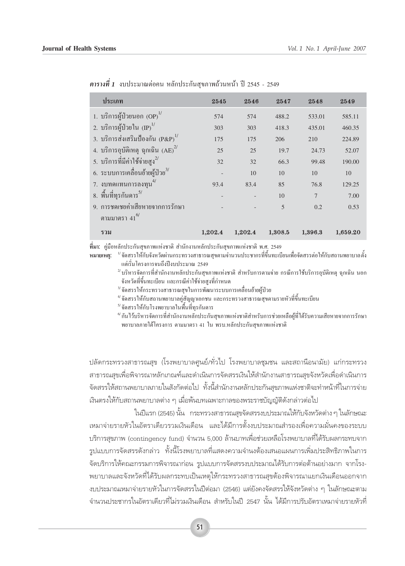| ประเภท                                    | 2545    | 2546    | 2547    | 2548           | 2549     |
|-------------------------------------------|---------|---------|---------|----------------|----------|
| 1. บริการผู้ป่วยนอก $(DP)^{1/2}$          | 574     | 574     | 488.2   | 533.01         | 585.11   |
| 2. บริการผู้ป่วยใน ${\rm (IP)}^{1/2}$     | 303     | 303     | 418.3   | 435.01         | 460.35   |
| 3. บริการส่งเสริมป้องกัน $(P\&P)^{1/2}$   | 175     | 175     | 206     | 210            | 224.89   |
| 4. บริการอุบัติเหตุ ฉุกเฉิน $(AE)^{2/3}$  | 25      | 25      | 19.7    | 24.73          | 52.07    |
| 5. บริการที่มีค่าใช้จ่ายสูง <sup>2/</sup> | 32      | 32      | 66.3    | 99.48          | 190.00   |
| 6. ระบบการเคลื่อนย้ายผู้ป่วย $^{3/}$      |         | 10      | 10      | 10             | 10       |
| 7. งบทดแทนการลงทุน <sup>4/</sup>          | 93.4    | 83.4    | 85      | 76.8           | 129.25   |
| 8. พื้นที่ทุรกันดาร <sup>5/</sup>         |         |         | 10      | $\overline{7}$ | 7.00     |
| 9. การชดเชยค่าเสียหายจากการรักษา          |         |         | 5       | 0.2            | 0.53     |
| ตามมาตรา $41^{6/}$                        |         |         |         |                |          |
| รวม                                       | 1,202.4 | 1,202.4 | 1,308.5 | 1,396.3        | 1,659.20 |

 $\overline{p}$  *คารางที่ 1* งบประมาณต่อคน หลักประกันสขภาพถ้วนหน้า ปี 2545 - 2549

**ที่มา:** คู่มือหลักประกันสุขภาพแห่งชาติ สำนักงานหลักประกันสุขภาพแห่งชาติ พ.ศ. 2549

**ฺ หมายเหตุ: <sup>บ′</sup>จัดสรรให้กับจังหวัดผ่านกระทรวงสาธารณสุขตามจำนวนประชากรที่ขึ้นทะเบียนเพื่อจัดสรรต่อให้กับสถานพยาบาลตั้ง<br>แต่เริ่มโครงการจนถึงปีงบประมาณ 2549** 

 $^{\prime\prime}$ บริหารจัดการที่สำนักงานหลักประกันสุขภาพแห่งชาติ สำหรับการตามจ่าย กรณีการใช้บริการอุบัติเหตุ ฉุกเฉิน นอก ์ จังหวัดที่ขึ้นทะเบียน และกรณีค่าใช้จ่ายสูงที่กำหนด<br><sup>3/</sup>จัดสรรให้กระทรวงสาธารณสุขในการพัฒนาระบบการเคลื่อนย้ายผู้ป่วย<br><sup>4/</sup>จัดสรรให้กับโรงพยาบาลในพื้นที่ทุรกันดาร<br><sup>6/</sup>กันไว้บริหารจัดการที่สำนักงานหลักประกันสขภาพแห่งชาติสำห

พยาบาลภายใต้โครงการ ตามมาตรา 41 ใน พรบ.หลักประกันสขภาพแห่งชาติ

ิปลัดกระทรวงสาธารณสุข (โรงพยาบาลศูนย์/ทั่วไป โรงพยาบาลชุมชน และสถานือนามัย) แก่กระทรวง สาธารณสฃเพื่อพิจารณาหลักเกณฑ์และดำเนินการจัดสรรเงินให้สำนักงานสาธารณสขจังหวัดเพื่อดำเนินการ จัดสรรให้สถานพยาบาลภายในสังกัดต่อไป ทั้งนี้สำนักงานหลักประกันสขภาพแห่งชาติจะทำหน้าที่ในการจ่าย ้เงินตรงให้กับสถานพยาบาลต่าง ๆ เมื่อพ้นบทเฉพาะกาลของพระราชบัญญัติดังกล่าวต่อไป

ในปีแรก (2545) นั้น กระทรวงสาธารณสขจัดสรรงบประมาณให้กับจังหวัดต่าง ๆ ในลักษณะ ้<br>เหมาจ่ายรายหัวในอัตราเดียวรวมเงินเดือน และได้มีการตั้งงบประมาณสำรองเพื่อความมั่นคงของระบบ บริการสุขภาพ (contingency fund) จำนวน 5,000 ล้านบาทเพื่อช่วยเหลือโรงพยาบาลที่ได้รับผลกระทบจาก ้รูปแบบการจัดสรรดังกล่าว ทั้งนี้โรงพยาบาลที่แสดงความจำนงต้องเสนอแผนการเพิ่มประสิทธิภาพในการ ้จัดบริการให้คณะกรรมการพิจารณาก่อน รูปแบบการจัดสรรงบประมาณได้รับการต่อต้านอย่างมาก จากโรง-พยาบาลและจังหวัดที่ได้รับผลกระทบเป็นเหตุให้กระทรวงสาธารณสุขต้องพิจารณาแยกเงินเดือนออกจาก งบประมาณเหมาจ่ายรายหัวในการจัดสรรในปีต่อมา (2546) แต่ยังคงจัดสรรให้จังหวัดต่าง ๆ ในลักษณะตาม จำนวนประชากรในอัตราเดียวที่ไม่รวมเงินเดือน สำหรับในปี 2547 นั้น ได้มีการปรับอัตราเหมาจ่ายรายหัวที่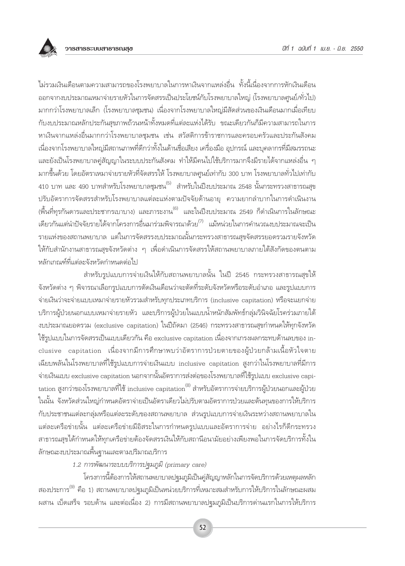

ไม่รวมเงินเดือนตามความสามารถของโรงพยาบาลในการหาเงินจากแหล่งอื่น ทั้งนี้เนื่องจากการหักเงินเดือน ้ออกจากงบประมาณเหมาจ่ายรายหัวในการจัดสรรเป็นประโยชน์กับโรงพยาบาลใหญ่ (โรงพยาบาลศูนย์/ทั่วไป) มากกว่าโรงพยาบาลเล็ก (โรงพยาบาลชุมชน) เนื่องจากโรงพยาบาลใหญ่มีสัดส่วนของเงินเดือนมากเมื่อเทียบ ้กับงบประมาณหลักประกันสุขภาพถ้วนหน้าทั้งหมดที่แต่ละแห่งได้รับ ขณะเดียวกันก็มีความสามารถในการ หาเงินจากแหล่งอื่นมากกว่าโรงพยาบาลชุมชน เช่น สวัสดิการข้าราชการและครอบครัวและประกันสังคม ้เนื่องจากโรงพยาบาลใหญ่มีสถานภาพที่ดีกว่าทั้งในด้านชื่อเสียง เครื่องมือ อุปกรณ์ และบุคลากรที่มีสมรรถนะ และยังเป็นโรงพยาบาลคู่สัญญาในระบบประกันสังคม ทำให้มีคนไปใช้บริการมากจึงมีรายได้จากแหล่งอื่น ๆ มากขึ้นด้วย โดยอัตราเหมาจ่ายรายหัวที่จัดสรรให้ โรงพยาบาลศูนย์เท่ากับ 300 บาท โรงพยาบาลทั่วไปเท่ากับ ี<br>410 บาท และ 490 บาทสำหรับโรงพยาบาลชมชน<sup>(5)</sup> สำหรับในปีงบประมาณ 2548 นั้นกระทรวงสาธารณสข ปรับอัตราการจัดสรรสำหรับโรงพยาบาลแต่ละแห่งตามปัจจัยด้านอายุ ความยากลำบากในการดำเนินงาน (พื้นที่ทุรกันดารและประชากรเบาบาง) และภาระงาน<sup>(6)</sup> และในปีงบประมาณ 2549 ก็ดำเนินการในลักษณะ เดียวกันแต่นำปัจจัยรายได้จากโครงการอื่นมาร่วมพิจารณาด้วย<sup>(7)</sup> แม้หน่วยในการคำนวณงบประมาณจะเป็น ุรายแห่งของสถานพยาบาล แต่ในการจัดสรรงบประมาณนั้นกระทรวงสาธารณสุขจัดสรรยอดรวมรายจังหวัด ให้กับสำนักงานสาธารณสุขจังหวัดต่าง ๆ เพื่อดำเนินการจัดสรรให้สถานพยาบาลภายใต้สังกัดของตนตาม หลักเกณฑ์ที่แต่ละจังหวัดกำหนดต่อไป

สำหรับรูปแบบการจ่ายเงินให้กับสถานพยาบาลนั้น ในปี 2545 กระทรวงสาธารณสุขให้ ้จังหวัดต่าง ๆ พิจารณาเลือกรูปแบบการตัดเงินเดือนว่าจะตัดที่ระดับจังหวัดหรือระดับอำเภอ และรูปแบบการ จ่ายเงินว่าจะจ่ายแบบเหมาจ่ายรายหัวรวมสำหรับทุกประเภทบริการ (inclusive capitation) หรือจะแยกจ่าย ้บริการผู้ป่วยนอกแบบเหมาจ่ายรายหัว และบริการผู้ป่วยในแบบน้ำหนักสัมพัทธ์กลุ่มวินิจฉัยโรคร่วมภายใต้ งบประมาณยอดรวม (exclusive capitation) ในปีถัดมา (2546) กระทรวงสาธารณสุขกำหนดให้ทุกจังหวัด ใช้รูปแบบในการจัดสรรเป็นแบบเดียวกัน คือ exclusive capitation เนื่องจากเกรงผลกระทบด้านลบของ inclusive capitation เนื่องจากมีการศึกษาพบว่าอัตราการป่วยตายของผู้ป่วยกล้ามเนื้อหัวใจตาย เฉียบพลันในโรงพยาบาลที่ใช้รูปแบบการจ่ายเงินแบบ inclusive capitation สูงกว่าในโรงพยาบาลที่มีการ จ่ายเงินแบบ exclusive capitation นอกจากนั้นอัตราการส่งต่อของโรงพยาบาลที่ใช้รูปแบบ exclusive capitation สูงกว่าของโรงพยาบาลที่ใช้ inclusive capitation<sup>(8)</sup> สำหรับอัตราการจ่ายบริการผู้ป่วยนอกและผู้ป่วย ในนั้น จังหวัดส่วนใหญ่กำหนดอัตราจ่ายเป็นอัตราเดียวไม่ปรับตามอัตราการป่วยและต้นทุนของการให้บริการ ้กับประชาชนแต่ละกลุ่มหรือแต่ละระดับของสถานพยาบาล ส่วนรูปแบบการจ่ายเงินระหว่างสถานพยาบาลใน แต่ละเครือข่ายนั้น แต่ละเครือข่ายมีอิสระในการกำหนดรูปแบบและอัตราการจ่าย อย่างไรก็ดีกระทรวง ้สาธารณสุขได้กำหนดให้ทุกเครือข่ายต้องจัดสรรเงินให้กับสถานีอนามัยอย่างเพียงพอในการจัดบริการทั้งใน ลักษณะงบประมาณพื้นฐานและตามปริมาณบริการ

1.2 การพัฒนาระบบบริการปฐมภูมิ (primary care)

โครงการนี้ต้องการให้สถานพยาบาลปฐมภูมิเป็นคู่สัญญาหลักในการจัดบริการด้วยเหตุผลหลัก ี สองประการ<sup>(9)</sup> คือ 1) สถานพยาบาลปจุมภูมิเป็นหน่วยบริการที่เหมาะสมสำหรับการให้บริการในลักษณะผสม ้ผสาน เบ็ดเสร็จ รอบด้าน และต่อเนื่อง 2) การมีสถานพยาบาลปฐมภูมิเป็นบริการด่านแรกในการให้บริการ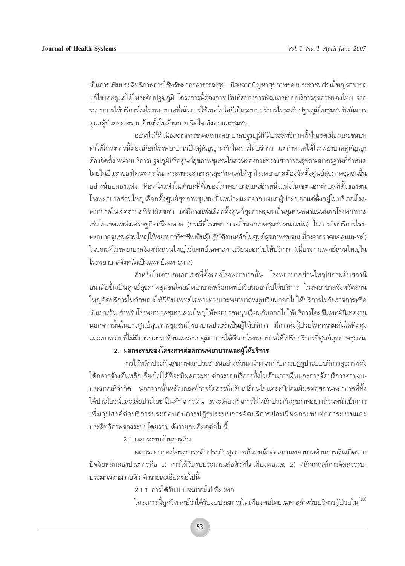้เป็นการเพิ่มประสิทธิภาพการใช้ทรัพยากรสาธารณสุข เนื่องจากปัญหาสุขภาพของประชาชนส่วนใหญ่สามารถ ้แก้ไขและดูแลได้ในระดับปฐมภูมิ โครงการนี้ต้องการปรับทิศทางการพัฒนาระบบบริการสุขภาพของไทย จาก ึ่ระบบการให้บริการในโรงพยาบาลที่เน้นการใช้เทคโนโลยีเป็นระบบบริการในระดับปจุมภูมิในชุมชนที่เน้นการ ์ ดูแลผู้ป่วยอย่างรอบด้านทั้งในด้านกาย จิตใจ สังคมและชุมชน

ือย่างไรก็ดี เนื่องจากการขาดสถานพยาบาลปฐมภูมิที่มีประสิทธิภาพทั้งในเขตเมืองและชนบท ู้ ทำให้โครงการนี้ต้องเลือกโรงพยาบาลเป็นคู่สัญญาหลักในการให้บริการ แต่กำหนดให้โรงพยาบาลคู่สัญญา ู้ต้องจัดตั้ง หน่วยบริการปจุมภูมิหรือศูนย์สุขภาพชุมชนในส่วนของกระทรวงสาธารณสุขตามมาตรจานที่กำหนด ี่ โดยในปีแรกของโครงการนั้น กระทรวงสาธารณสุขกำหนดให้ทุกโรงพยาบาลต้องจัดตั้งศูนย์สุขภาพชุมชนขึ้น ้อย่างน้อยสองแห่ง คือหนึ่งแห่งในตำบลที่ตั้งของโรงพยาบาลและอีกหนึ่งแห่งในเขตนอกตำบลที่ตั้งของตน โรงพยาบาลส่วนใหญ่เลือกตั้งศูนย์สุขภาพชุมชนเป็นหน่วยแยกจากแผนกผู้ป่วยนอกแต่ตั้งอยู่ในบริเวณโรง-ู พยาบาลในเขตตำบลที่รับผิดชอบ แต่มีบางแห่งเลือกตั้งศูนย์สุขภาพชุมชนในชุมชนหนาแน่นนอกโรงพยาบาล ้ เช่นในเขตแหล่งเศรษฐกิจหรือตลาด (กรณีที่โรงพยาบาลตั้งนอกเขตชุมชนหนาแน่น) ในการจัดบริการโรง-พยาบาลชุมชนส่วนใหญ่ให้พยาบาลวิชาชีพเป็นผู้ปฏิบัติงานหลักในศูนย์สุขภาพชุมชน(เนื่องจากขาดแคลนแพทย์) ู้ในขณะที่โรงพยาบาลจังหวัดส่วนใหญ่ใช้แพทย์เฉพาะทางเวียนออกไปให้บริการ (เนื่องจากแพทย์ส่วนใหญ่ใน โรงพยาบาลจังหวัดเป็นแพทย์เฉพาะทาง)

สำหรับในตำบลนอกเขตที่ตั้งของโรงพยาบาลนั้น โรงพยาบาลส่วนใหญ่ยกระดับสถานี ือนามัยขึ้นเป็นศูนย์สุขภาพชุมชนโดยมีพยาบาลหรือแพทย์เวียนออกไปให้บริการ โรงพยาบาลจังหวัดส่วน ใหญ่จัดบริการในลักษณะให้มีทีมแพทย์เฉพาะทางและพยาบาลหมุนเวียนออกไปให้บริการในวันราชการหรือ เป็นบางวัน สำหรับโรงพยาบาลชุมชนส่วนใหญ่ให้พยาบาลหมุนเวียนกันออกไปให้บริการโดยมีแพทย์นิเทศงาน นอกจากนั้นในบางศูนย์สุขภาพชุมชนมีพยาบาลประจำเป็นผู้ให้บริการ มีการส่งผู้ป่วยโรคความดันโลหิตสูง ้ และเบาหวานที่ไม่มีภาวะแทรกซ้อนและควบคุมอาการได้ดีจากโรงพยาบาลให้ไปรับบริการที่ศูนย์สุขภาพชุมชน

### ึ 2. ผลกระทบของโครงการต่อสถานพยาบาลและผู้ให้บริการ

การให้หลักประกันสุขภาพแก่ประชาชนอย่างถ้วนหน้าผนวกกับการปฏิรูประบบบริการสุขภาพดัง  $^{\prime\prime}$ ได้กล่าวข้างต้นหลีกเลี่ยงไม่ได้ที่จะมีผลกระทบต่อระบบบริการทั้งในด้านการเงินและการจัดบริการตามงบ-ึ ประมาณที่จำกัด นอกจากนั้นหลักเกณฑ์การจัดสรรที่ปรับเปลี่ยนไปแต่ละปีย่อมมีผลต่อสถานพยาบาลที่ทั้ง  $\,$ ได้ประโยชน์และเสียประโยชน์ในด้านการเงิน ขณะเดียวกันการให้หลักประกันสขภาพอย่างถ้วนหน้าเป็นการ ้เพิ่มอุปสงค์ต่อบริการประกอบกับการปฏิรูประบบการจัดบริการย่อมมีผลกระทบต่อภาระงานและ ้ ประสิทธิภาพของระบบโดยรวม ดังรายละเอียดต่อไปนี้

2.1 ผลกระทบด้านการเงิน

ื่ผลกระทบของโครงการหลักประกันสุขภาพถ้วนหน้าต่อสถานพยาบาลด้านการเงินเกิดจาก ิปัจจัยหลักสองประการคือ 1) การได้รับงบประมาณต่อหัวที่ไม่เพียงพอและ 2) หลักเกณฑ์การจัดสรรงบ-ประมาณตามรายหัว ดังรายละเอียดต่อไปนี้

2.1.1 การได้รับงบประมาณไม่เพียงพอ

์ โครงการนี้ถูกวิพากษ์ว่าได้รับงบประมาณไม่เพียงพอโดยเฉพาะสำหรับบริการผู้ป่วยใน<sup>(10)</sup>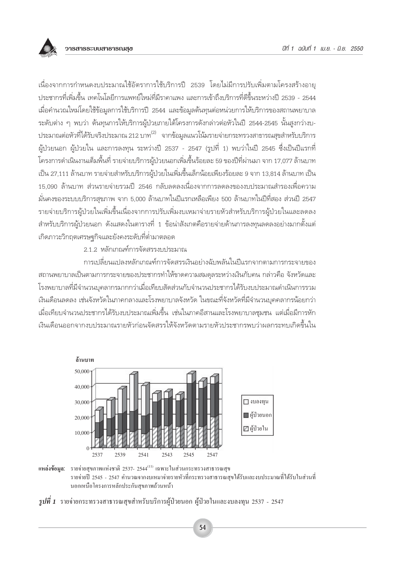เนื่องจากการกำหนดงบประมาณใช้อัตราการใช้บริการปี 2539 โดยไม่มีการปรับเพิ่มตามโครงสร้างอาย ้ประชากรที่เพิ่มขึ้น เทคโนโลยีการแพทย์ใหม่ที่มีราคาแพง และการเข้าถึงบริการที่ดีขึ้นระหว่างปี 2539 - 2544 เมื่อคำนวณใหม่โดยใช้ข้อมูลการใช้บริการปี 2544 และข้อมูลต้นทุนต่อหน่วยการให้บริการของสถานพยาบาล ระดับต่าง ๆ พบว่า ต้นทุนการให้บริการผู้ป่วยภายใต้โครงการดังกล่าวต่อหัวในปี 2544-2545 นั้นสูงกว่างบ-ประมาณต่อหัวที่ได้รับจริงประมาณ 212 บาท<sup>(2)</sup> จากข้อมูลแนวโน้มรายจ่ายกระทรวงสาธารณสุขสำหรับบริการ ้ผู้ป่วยนอก ผู้ป่วยใน และการลงทุน ระหว่างปี 2537 - 2547 (รูปที่ 1) พบว่าในปี 2545 ซึ่งเป็นปีแรกที่ โครงการดำเนินงานเต็มพื้นที่ รายจ่ายบริการผู้ป่วยนอกเพิ่มขึ้นร้อยละ 59 ของปีที่ผ่านมา จาก 17,077 ล้านบาท เป็น 27,111 ล้านบาท รายจ่ายสำหรับบริการผู้ป่วยในเพิ่มขึ้นเล็กน้อยเพียงร้อยละ 9 จาก 13,814 ล้านบาท เป็น 15.090 ล้านบาท ส่วนรายจ่ายรวมปี 2546 กลับลดลงเนื่องจากการลดลงของงบประมาณสำรองเพื่อความ ้มั่นคงของระบบบริการสุขภาพ จาก 5,000 ล้านบาทในปีแรกเหลือเพียง 500 ล้านบาทในปีที่สอง ส่วนปี 2547 รายจ่ายบริการผู้ป่วยในเพิ่มขึ้นเนื่องจากการปรับเพิ่มงบเหมาจ่ายรายหัวสำหรับบริการผู้ป่วยในและลดลง ้สำหรับบริการผู้ป่วยนอก ดังแสดงในตารางที่ 1 ข้อน่าสังเกตคือรายจ่ายด้านการลงทุนลดลงอย่างมากตั้งแต่ เกิดภาวะวิกฤตเศรษฐกิจและยังคงระดับที่ต่ำมาตลอด

## 2.1.2 หลักเกณฑ์การจัดสรรงบประมาณ

การเปลี่ยนแปลงหลักเกณฑ์การจัดสรรเงินอย่างฉับพลันในปีแรกจากตามการกระจายของ สถานพยาบาลเป็นตามการกระจายของประชากรทำให้ขาดความสมดุลระหว่างเงินกับคน กล่าวคือ จังหวัดและ โรงพยาบาลที่มีจำนวนบุคลากรมากกว่าเมื่อเทียบสัดส่วนกับจำนวนประชากรได้รับงบประมาณดำเนินการรวม เงินเดือนลดลง เช่นจังหวัดในภาคกลางและโรงพยาบาลจังหวัด ในขณะที่จังหวัดที่มีจำนวนบุคคลากรน้อยกว่า เมื่อเทียบจำนวนประชากรได้รับงบประมาณเพิ่มขึ้น เช่นในภาคอีสานและโรงพยาบาลชุมชน แต่เมื่อมีการหัก เงินเดือนออกจากงบประมาณรายหัวก่อนจัดสรรให้จังหวัดตามรายหัวประชากรพบว่าผลกระทบเกิดขึ้นใน







54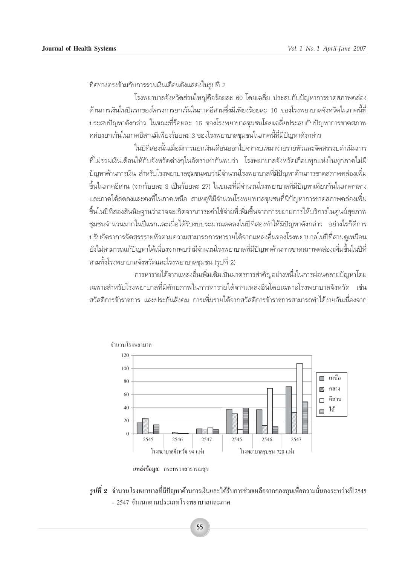้ทิศทางตรงข้ามกับการรวมเงินเดือนดังแสดงในรปที่ 2

โรงพยาบาลจังหวัดส่วนใหญ่คือร้อยละ 60 โดยเฉลี่ย ประสบกับปัญหาการขาดสภาพคล่อง ้ด้านการเงินในปีแรกของโครงการยกเว้นในภาคอีสานซึ่งมีเพียงร้อยละ 10 ของโรงพยาบาลจังหวัดในภาคนี้ที่ ประสบปัญหาดังกล่าว ในขณะที่ร้อยละ 16 ของโรงพยาบาลชุมชนโดยเฉลี่ยประสบกับปัญหาการขาดสภาพ ้คล่องยกเว้นในภาคอีสานมีเพียงร้อยละ 3 ของโรงพยาบาลชุมชนในภาคนี้ที่มีปัญหาดังกล่าว

ในปีที่สองนั้นเมื่อมีการแยกเงินเดือนออกไปจากงบเหมาจ่ายรายหัวและจัดสรรงบดำเนินการ ์ที่ไม่รวมเงินเดือนให้กับจังหวัดต่างๆในอัตราเท่ากันพบว่า โรงพยาบาลจังหวัดเกือบทกแห่งในทุกภาคไม่มี ้ปัญหาด้านการเงิน สำหรับโรงพยาบาลชุมชนพบว่ามีจำนวนโรงพยาบาลที่มีปัญหาด้านการขาดสภาพคล่องเพิ่ม ขึ้นในภาคอีสาน (จากร้อยละ 3 เป็นร้อยละ 27) ในขณะที่มีจำนวนโรงพยาบาลที่มีปัญหาเดียวกันในภาคกลาง ้และภาคใต้ลดลงและคงที่ในภาคเหนือ สาเหตุที่มีจำนวนโรงพยาบาลชุมชนที่มีปัญหาการขาดสภาพคล่องเพิ่ม ขึ้นในปีที่สองสันนิษฐานว่าอาจจะเกิดจากภาระค่าใช้จ่ายที่เพิ่มขึ้นจากการขยายการให้บริการในศูนย์สุขภาพ ้ชุมชนจำนวนมากในปีแรกและเมื่อได้รับงบประมาณลดลงในปีที่สองทำให้มีปัญหาดังกล่าว อย่างไรก็ดีการ ปรับอัตราการจัดสรรรายหัวตามความสามารถการหารายได้จากแหล่งอื่นของโรงพยาบาลในปีที่สามดูเหมือน ้ยังไม่สามารถแก้ปัญหาได้เนื่องจากพบว่ามีจำนวนโรงพยาบาลที่มีปัญหาด้านการขาดสภาพคล่องเพิ่มขึ้นในปีที่ สามทั้งโรงพยาบาลจังหวัดและโรงพยาบาลชุมชน (รูปที่ 2)

การหารายได้จากแหล่งอื่นเพิ่มเติมเป็นมาตรการสำคัญอย่างหนึ่งในการผ่อนคลายปัญหาโดย ้เฉพาะสำหรับโรงพยาบาลที่มีศักยภาพในการหารายได้จากแหล่งอื่นโดยเฉพาะโรงพยาบาลจังหวัด เช่น สวัสดิการข้าราชการ และประกันสังคม การเพิ่มรายได้จากสวัสดิการข้าราชการสามารถทำได้ง่ายอันเนื่องจาก



แหล่งข้อมูล: กระทรวงสาธารณสุข

 $\,$ รูปที่ 2  $\,$  จำนวนโรงพยาบาลที่มีปัญหาด้านการเงินและได้รับการช่วยเหลือจากกองทุนเพื่อความมั่นคงระหว่างปี $2$ 545  $\,$ - 2547 จำแนกตามประเภทโรงพยาบาลและภาค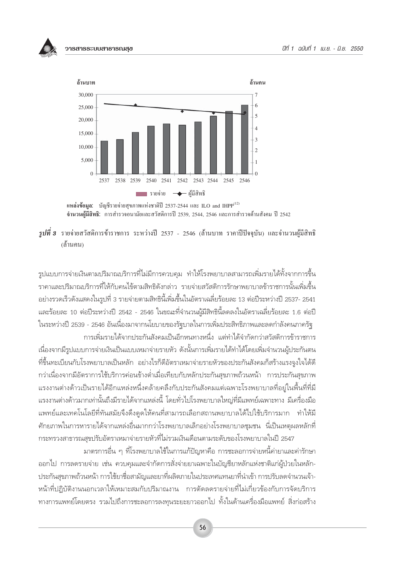



<sup>ี</sup> รูปที่ **3** รายจ่ายสวัสดิการข้าราชการ ระหว่างปี 2537 - 2546 (ล้านบาท ราคาปีปัจจุบัน) และจำนวนผู้มีสิทธิ (ถ้านคน)

รูปแบบการจ่ายเงินตามปริมาณบริการที่ไม่มีการควบคุม ทำให้โรงพยาบาลสามารถเพิ่มรายได้ทั้งจากการขึ้น ี ราคาและปริมาณบริการที่ให้กับคนไข้ตามสิทธิดังกล่าว รายจ่ายสวัสดิการรักษาพยาบาลข้าราชการนั้นเพิ่มขึ้น ้อย่างรวดเร็วดังแสดงในรูปที่ 3 รายจ่ายตามสิทธินี้เพิ่มขึ้นในอัตราเฉลี่ยร้อยละ 13 ต่อปีระหว่างปี 2537- 2541 และร้อยละ 10 ต่อปีระหว่างปี 2542 - 2546 ในขณะที่จำนวนผู้มีสิทธินี้ลดลงในอัตราเฉลี่ยร้อยละ 1.6 ต่อปี ในระหว่างปี 2539 - 2546 อันเนื่องมาจากนโยบายของรัฐบาลในการเพิ่มประสิทธิภาพและลดกำลังคนภาครัฐ การเพิ่มรายได้จากประกันสังคมเป็นอีกหนทางหนึ่ง แต่ทำได้จำกัดกว่าสวัสดิการข้าราชการ

เนื่องจากมีรูปแบบการจ่ายเงินเป็นแบบเหมาจ่ายรายหัว ดังนั้นการเพิ่มรายได้ทำได้โดยเพิ่มจำนวนผู้ประกันตน ้ที่ขึ้นทะเบียนกับโรงพยาบาลเป็นหลัก อย่างไรก็ดีอัตราเหมาจ่ายรายหัวของประกันสังคมก็สร้างแรงจูงใจได้ดี ้กว่าเนื่องจากมีอัตราการใช้บริการค่อนข้างต่ำเมื่อเทียบกับหลักประกันสุขภาพถ้วนหน้า การประกันสุขภาพ แรงงานต่างด้าวเป็นรายได้อีกแหล่งหนึ่งคล้ายคลึงกับประกันสังคมแต่เฉพาะโรงพยาบาลที่อยู่ในพื้นที่ที่มี แรงงานต่างด้าวมากเท่านั้นถึงมีรายได้จากแหล่งนี้ โดยทั่วไปโรงพยาบาลใหญ่ที่มีแพทย์เฉพาะทาง มีเครื่องมือ ้แพทย์และเทคโนโลยีที่ทันสมัยจึงดึงดูดให้คนที่สามารถเลือกสถานพยาบาลได้ไปใช้บริการมาก ทำให้มี ้ศักยภาพในการหารายได้จากแหล่งอื่นมากกว่าโรงพยาบาลเล็กอย่างโรงพยาบาลชุมชน นี่เป็นเหตุผลหลักที่ กระทรวงสาธารณสุขปรับอัตราเหมาจ่ายรายหัวที่ไม่รวมเงินเดือนตามระดับของโรงพยาบาลในปี 2547

้มาตรการอื่น ๆ ที่โรงพยาบาลใช้ในการแก้ปัญหาคือ การชะลอการจ่ายหนี้ค่ายาและค่ารักษา ้ออกไป การลดรายจ่าย เช่น ควบคุมและจำกัดการสั่งจ่ายยาเฉพาะในบัญชียาหลักแห่งชาติแก่ผู้ป่วยในหลัก-ประกันสุขภาพถ้วนหน้า การใช้ยาชื่อสามัญและยาที่ผลิตภายในประเทศแทนยาที่นำเข้า การปรับลดจำนวนเจ้า-หน้าที่ปฏิบัติงานนอกเวลาให้เหมาะสมกับปริมาณงาน การตัดลดรายจ่ายที่ไม่เกี่ยวข้องกับการจัดบริการ ้ทางการแพทย์โดยตรง รวมไปถึงการชะลอการลงทุนระยะยาวออกไป ทั้งในด้านเครื่องมือแพทย์ สิ่งก่อสร้าง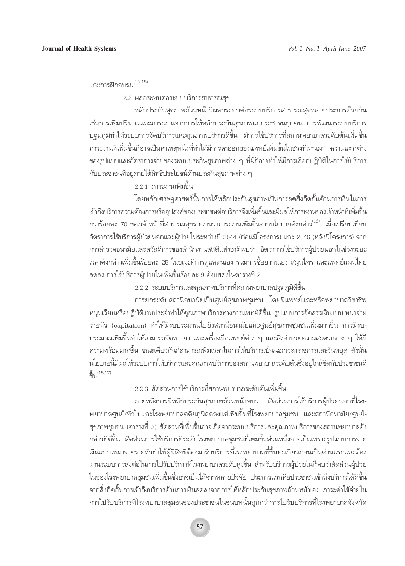และการฝึกอบรม<sup>(13-15)</sup>

2.2 ผลกระทบต่อระบบบริการสาธารณสุข

หลักประกันสุขภาพถ้วนหน้ามีผลกระทบต่อระบบบริการสาธารณสุขหลายประการด้วยกัน เช่นการเพิ่มปริมาณและภาระงานจากการให้หลักประกันสุขภาพแก่ประชาชนทุกคน การพัฒนาระบบบริการ ปฐมภูมิทำให้ระบบการจัดบริการและคุณภาพบริการดีขึ้น มีการใช้บริการที่สถานพยาบาลระดับต้นเพิ่มขึ้น ภาระงานที่เพิ่มขึ้นก็อาจเป็นสาเหตุหนึ่งที่ทำให้มีการลาออกของแพทย์เพิ่มขึ้นในช่วงที่ผ่านมา ความแตกต่าง ของรูปแบบและอัตราการจ่ายของระบบประกันสุขภาพต่าง ๆ ที่มีก็อาจทำให้มีการเลือกปฏิบัติในการให้บริการ ้กับประชาชนที่อยู่ภายใต้สิทธิประโยชน์ด้านประกันสุขภาพต่าง ๆ

2.2.1 ภาระงานเพิ่มขึ้น

โดยหลักเศรษจุศาสตร์นั้นการให้หลักประกันสุขภาพเป็นการลดสิ่งกีดกั้นด้านการเงินในการ เข้าถึงบริการความต้องการหรืออุปสงค์ของประชาชนต่อบริการจึงเพิ่มขึ้นเละมีผลให้ภาระงานของเจ้าหน้าที่เพิ่มขึ้น กว่าร้อยละ 70 ของเจ้าหน้าที่สาธารณสุขรายงานว่าภาระงานเพิ่มขึ้นจากนโยบายดังกล่าว<sup>(16)</sup> เมื่อเปรียบเทียบ อัตราการใช้บริการผู้ป่วยนอกและผู้ป่วยในระหว่างปี 2544 (ก่อนมีโครงการ) และ 2546 (หลังมีโครงการ) จาก การสำรวจอนามัยและสวัสดิการของสำนักงานสถิติแห่งชาติพบว่า อัตราการใช้บริการผู้ป่วยนอกในช่วงระยะ เวลาดังกล่าวเพิ่มขึ้นร้อยละ 25 ในขณะที่การดูแลตนเอง รวมการซื้อยากินเอง สมุนไพร และแพทย์แผนไทย ลดลง การใช้บริการผู้ป่วยในเพิ่มขึ้นร้อยละ 9 ดังแสดงในตารางที่ 2

่ 2.2.2 ระบบบริการและคุณภาพบริการที่สถานพยาบาลปฐมภูมิดีขึ้น

การยกระดับสถานีอนามัยเป็นศูนย์สุขภาพชุมชน โดยมีแพทย์และหรือพยาบาลวิชาชีพ หมุนเวียนหรือปฏิบัติงานประจำทำให้คุณภาพบริการทางการแพทย์ดีขึ้น รูปแบบการจัดสรรเงินแบบเหมาจ่าย รายหัว (capitation) ทำให้มีงบประมาณไปยังสถานีอนามัยและศูนย์สุขภาพชุมชนเพิ่มมากขึ้น การมีงบ-ิ ประมาณเพิ่มขึ้นทำให้สามารถจัดหา ยา และเครื่องมือแพทย์ต่าง ๆ และสิ่งอำนวยความสะดวกต่าง ๆ ให้มี ิ ความพร้อมมากขึ้น ขณะเดียวกันก็สามารถเพิ่มเวลาในการให้บริการเป็นนอกเวลาราชการและวันหยุด ดังนั้น นโยบายนี้มีผลให้ระบบการให้บริการและคุณภาพบริการของสถานพยาบาลระดับต้นซึ่งอยู่ใกล้ชิดกับประชาชนดี  $\frac{2}{9|91}(15,17)$ 

่ 2.2.3 สัดส่วนการใช้บริการที่สถานพยาบาลระดับต้นเพิ่มขึ้น

ภายหลังการมีหลักประกันสุขภาพถ้วนหน้าพบว่า สัดส่วนการใช้บริการผู้ป่วยนอกที่โรง-้พยาบาลศูนย์/ทั่วไปและโรงพยาบาลตติยภูมิลดลงแต่เพิ่มขึ้นที่โรงพยาบาลชุมชน และสถานีอนามัย/ศูนย์-์สุขภาพชุมชน (ตารางที่ 2) สัดส่วนที่เพิ่มขึ้นอาจเกิดจากระบบบริการและคุณภาพบริการของสถานพยาบาลดัง ึกล่าวที่ดีขึ้น สัดส่วนการใช้บริการที่ระดับโรงพยาบาลชุมชนที่เพิ่มขึ้นส่วนหนึ่งอาจเป็นเพราะรูปแบบการจ่าย เงินแบบเหมาจ่ายรายหัวทำให้ผู้มีสิทธิต้องมารับบริการที่โรงพยาบาลที่ขึ้นทะเบียนก่อนเป็นด่านแรกและต้อง ผ่านระบบการส่งต่อในการไปรับบริการที่โรงพยาบาลระดับสูงขึ้น สำหรับบริการผู้ป่วยในก็พบว่าสัดส่วนผู้ป่วย ในของโรงพยาบาลชมชนเพิ่มขึ้นซึ่งอาจเป็นได้จากหลายปัจจัย ประการแรกคือประชาชนเข้าถึงบริการได้ดีขึ้น จากสิ่งกีดกั้นการเข้าถึงบริการด้านการเงินลดลงจากการให้หลักประกันสุขภาพถ้วนหน้าเอง ภาระค่าใช้จ่ายใน การไปรับบริการที่โรงพยาบาลชุมชนของประชาชนในชนบทนั้นถูกกว่าการไปรับบริการที่โรงพยาบาลจังหวัด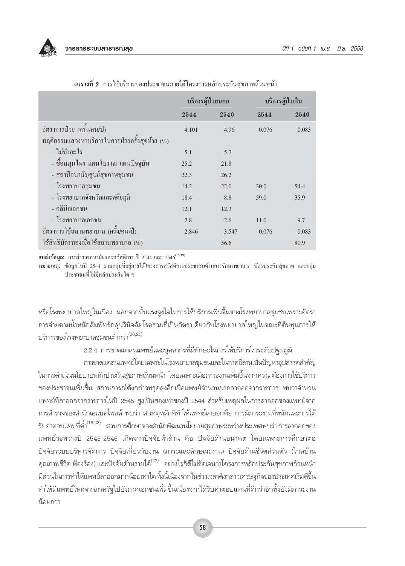

|                                               | บริการผู้ป่วยนอก |       |       | บริการผู้ป่วยใน |  |
|-----------------------------------------------|------------------|-------|-------|-----------------|--|
|                                               | 2544             | 2546  | 2544  | 2546            |  |
| อัตราการป่วย (ครั้ง/คน/ปี)                    | 4.101            | 4.96  | 0.076 | 0.083           |  |
| พฤติกรรมแสวงหาบริการในการป่วยครั้งสุดท้าย (%) |                  |       |       |                 |  |
| - ไม่ทำอะไร                                   | 5.1              | 5.2   |       |                 |  |
| - ซื้อสมุนไพร แผนโบราณ แผนปัจจุบัน            | 25.2             | 21.8  |       |                 |  |
| - สถานีอนามัย/ศูนย์สุขภาพชุมชน                | 22.3             | 26.2  |       |                 |  |
| - โรงพยาบาลชุมชน                              | 14.2             | 22.0  | 30.0  | 54.4            |  |
| - โรงพยาบาลจังหวัดและตติยภูมิ                 | 18.4             | 8.8   | 59.0  | 35.9            |  |
| - คลินิกเอกชน                                 | 12.1             | 12.3  |       |                 |  |
| - โรงพยาบาลเอกชน                              | 2.8              | 2.6   | 11.0  | 9.7             |  |
| อัตราการใช้สถานพยาบาล (ครั้ง/คน/ปี)           | 2.846            | 3.547 | 0.076 | 0.083           |  |
| ใช้สิทธิบัตรทองเมื่อใช้สถานพยาบาล $(\%)$      |                  | 56.6  |       | 80.9            |  |

ี <mark>ตารางที่ 2</mark> การใช้บริการของประชาชนภายใต้โครงการหลักประกันสขภาพถ้วนหน้า

แหล**่งข้อมูล:** การสำรวจอนามัยและสวัสดิการ ปี 2544 และ 2546<sup>(18,19)</sup>

ี หมายเหตุ: ข้อมูลในปี 2544 รวมกลุ่มที่อยู่ภายใต้โครงการสวัสดิการประชาชนด้านการรักษาพยาบาล บัตรประกันสุขภาพ และกลุ่ม ประชาชนที่ไม่มีหลักประกันใด ๆ

หรือโรงพยาบาลใหญ่ในเมือง นอกจากนั้นแรงจูงใจในการให้บริการเพิ่มขึ้นของโรงพยาบาลชุมชนเพราะอัตรา การจ่ายตามน้ำหนักสัมพัทธ์กลุ่มวินิจฉัยโรคร่วมที่เป็นอัตราเดียวกับโรงพยาบาลใหญ่ในขณะที่ต้นทุนการให้ บริการของโรงพยาบาลชุมชนต่ำกว่า<sup>(20,21)</sup>

2.2.4 การขาดแคลนแพทย์และบุคลากรที่มีทักษะในการให้บริการในระดับปฐมภูมิ

การขาดแคลนแพทย์โดยเฉพาะในโรงพยาบาลชุมชนและในภาคอีสานเป็นปัญหาอุปสรรคสำคัญ ในการดำเนินนโยบายหลักประกันสุขภาพถ้วนหน้า โดยเฉพาะเมื่อภาระงานเพิ่มขึ้นจากความต้องการใช้บริการ ของประชาชนเพิ่มขึ้น สถานการณ์ดังกล่าวทรุดลงอีกเมื่อแพทย์จำนวนมากลาออกจากราชการ พบว่าจำนวน ้แพทย์ที่ลาออกจากราชการในปี 2545 สูงเป็นสองเท่าของปี 2544 สำหรับเหตุผลในการลาออกของแพทย์จาก การสำรวจของสำนักเอแบคโพลล์ พบว่า สาเหตุหลักที่ทำให้แพทย์ลาออกคือ การมีภาระงานที่หนักและการได้ ้รับค่าตอบแทนที่ต่ำ<sup>(16,22)</sup> ส่วนการศึกษาของสำนักพัฒนานโยบายสุขภาพระหว่างประเทศพบว่า การลาออกของ แพทย์ระหว่างปี 2545-2546 เกิดจากปัจจัยห้าด้าน คือ ปัจจัยด้านอนาคต โดยเฉพาะการศึกษาต่อ ปัจจัยระบบบริหารจัดการ ปัจจัยเกี่ยวกับงาน (ภาระและลักษณะงาน) ปัจจัยด้านชีวิตส่วนตัว (ไกลบ้าน ้คุณภาพชีวิต ฟ้องร้อง) และปัจจัยด้านรายได้<sup>23)</sup> อย่างไรก็ดีไม่ชัดเจนว่าโครงการหลักประกันสุขภาพถ้วนหน้า ้มีส่วนในการทำให้แพทย์ลาออกมากน้อยเท่าใด ทั้งนี้เนื่องจากในช่วงเวลาดังกล่าวเศรษฐกิจของประเทศเริ่มดีขึ้น ทำให้มีแพทย์ไหลจากภาครัฐไปยังภาคเอกชนเพิ่มขึ้นเนื่องจากได้รับค่าตอบแทนที่ดีกว่าอีกทั้งยังมีภาระงาน น้อยกว่า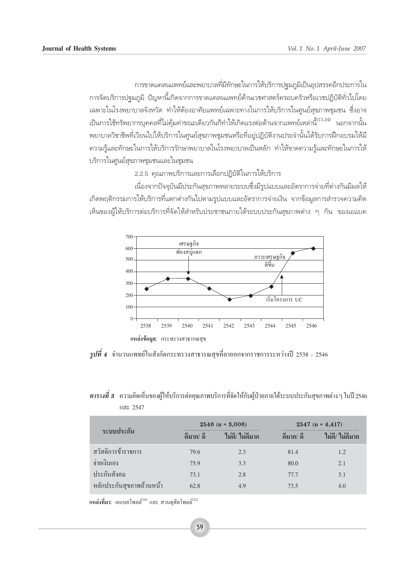ำกรขาดแคลนแพทย์และพยาบาลที่มีทักษะในการให้บริการปจุมภูมิเป็นอุปสรรคอีกประการใน ึ การจัดบริการปฐมภูมิ ปัญหานี้เกิดจากการขาดแคลนแพทย์ด้านเวชศาสตร์ครอบครัวหรือเวชปฏิบัติทั่วไปโดย ้ เฉพาะในโรงพยาบาลจังหวัด ทำให้ต้องอาศัยแพทย์เฉพาะทางในการให้บริการในศูนย์สุขภาพชุมชน ซึ่งอาจ ้เป็นการใช้ทรัพยากรบุคคลที่ไม่คุ้มค่าขณะเดียวกันก็ทำให้เกิดแรงต่อต้านจากแพทย์เหล่านี้<sup>(13,24)</sup> นอกจากนั้น พยาบาลวิชาชีพที่เวียนไปให้บริการในศูนย์สุขภาพชุมชนหรือที่อยู่ปฏิบัติงานประจำนั้นได้รับการฝึกอบรมให้มี ้ ความรู้และทักษะในการให้บริการรักษาพยาบาลในโรงพยาบาลเป็นหลัก ทำให้ขาดความรู้และทักษะในการให้ บริการในศูนย์สุขภาพชุมชนและในชุมชน

2.2.5 คุณภาพบริการและการเลือกปฏิบัติในการให้บริการ

ู้ เนื่องจากปัจจุบันมีประกันสุขภาพหลายระบบซึ่งมีรูปแบบและอัตราการจ่ายที่ต่างกันมีผลให้ ี เกิดพฤติกรรมการให้บริการที่แตกต่างกันไปตามรูปแบบและอัตราการจ่ายเงิน จากข้อมูลการสำรวจความคิด ้เห็นของผู้ให้บริการต่อบริการที่จัดให้สำหรับประชาชนภายใต้ระบบประกันสุขภาพต่าง ๆ กัน ของเอแบค



 $\,$ *รูปที่ 4* จำนวนแพทย์ในสังกัดกระทรวงสาธารณสุขที่ลาออกจากราชการระหว่างปี 2538 − 2546

# *ตารางที่ 3* ความคิดเห็นของผู้ให้บริการต่อคุณภาพบริการที่จัดให้กับผู้ป่วยภายใต้ระบบประกันสุขภาพต่าง ๆ ในปี 2546 และ 2547

| ระบบประกัน               |            | $2546$ (n = 3,006) |            | $2547$ (n = 4,417) |  |  |
|--------------------------|------------|--------------------|------------|--------------------|--|--|
|                          | ้ดีมาก/ ดี | ไม่ดี/ ไม่ดีมาก    | ้ดีมาก/ ดี | ไม่ดี/ ไม่ดีมาก    |  |  |
| สวัสดิการข้าราชการ       | 79.6       | 2.3                | 81.4       | 1.2                |  |  |
| จ่ายเงินเอง              | 75.9       | 3.3                | 80.0       | 2.1                |  |  |
| ประกันสังคม              | 73.1       | 2.8                | 77.7       | 3.1                |  |  |
| หลักประกันสุขภาพถ้วนหน้า | 62.8       | 4.9                | 73.5       | 4.0                |  |  |

แ<mark>หล่งที่มา:</mark> เอแบคโพลล์<sup>(เ6)</sup>และ สวนดุสิตโพลล์<sup>(22)</sup>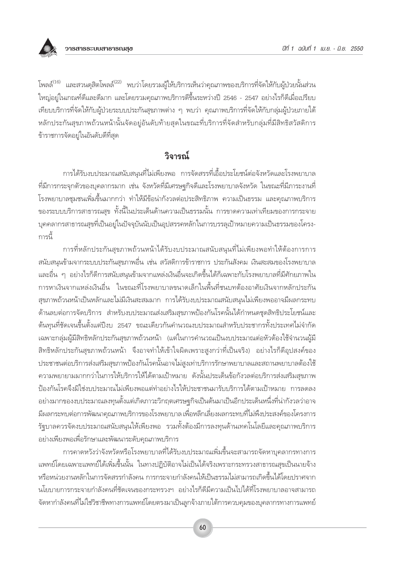

โพลล์<sup>(16)</sup> และสวนดุสิตโพลล์<sup>(22)</sup> พบว่าโดยรวมผู้ให้บริการเห็นว่าคุณภาพของบริการที่จัดให้กับผู้ป่วยนั้นส่วน ใหญ่อยู่ในเกณฑ์ดีและดีมาก และโดยรวมคุณภาพบริการดีขึ้นระหว่างปี 2546 - 2547 อย่างไรก็ดีเมื่อเปรียบ เทียบบริการที่จัดให้กับผู้ป่วยระบบประกันสุขภาพต่าง ๆ พบว่า คุณภาพบริการที่จัดให้กับกลุ่มผู้ป่วยภายใต้ หลักประกันสุขภาพถ้วนหน้านั้นจัดอยู่อันดับท้ายสุดในขณะที่บริการที่จัดสำหรับกลุ่มที่มีสิทธิสวัสดิการ ข้าราชการจัดอยู่ในอันดับดีที่สุด

# วิจารณ์

ิการได้รับงบประมาณสนับสนุนที่ไม่เพียงพอ การจัดสรรที่เอื้อประโยชน์ต่อจังหวัดและโรงพยาบาล ้ที่มีการกระจุกตัวของบุคลากรมาก เช่น จังหวัดที่มีเศรษฐกิจดีและโรงพยาบาลจังหวัด ในขณะที่มีภาระงานที่ โรงพยาบาลชุมชนเพิ่มขึ้นมากกว่า ทำให้มีข้อน่ากังวลต่อประสิทธิภาพ ความเป็นธรรม และคุณภาพบริการ ของระบบบริการสาธารณสุข ทั้งนี้ในประเด็นด้านความเป็นธรรมนั้น การขาดความเท่าเทียมของการกระจาย ้บุคคลากรสาธารณสุขที่เป็นอยู่ในปัจจุบันนับเป็นอุปสรรคหลักในการบรรลุเป้าหมายความเป็นธรรมของโครง-การนี้

้การที่หลักประกันสุขภาพถ้วนหน้าได้รับงบประมาณสนับสนุนที่ไม่เพียงพอทำให้ต้องการการ สนับสนุนข้ามจากระบบประกันสุขภาพอื่น เช่น สวัสดิการข้าราชการ ประกันสังคม เงินสะสมของโรงพยาบาล และอื่น ๆ อย่างไรก็ดีการสนับสนุนข้ามจากแหล่งเงินอื่นจะเกิดขึ้นได้ก็เฉพาะกับโรงพยาบาลที่มีศักยภาพใน การหาเงินจากแหล่งเงินอื่น ในขณะที่โรงพยาบาลขนาดเล็กในพื้นที่ชนบทต้องอาศัยเงินจากหลักประกัน สุขภาพถ้วนหน้าเป็นหลักและไม่มีเงินสะสมมาก การได้รับงบประมาณสนับสนุนไม่เพียงพออาจมีผลกระทบ ้ด้านลบต่อการจัดบริการ สำหรับงบประมาณส่งเสริมสุขภาพป้องกันโรคนั้นได้กำหนดชุดสิทธิประโยชน์และ ้ต้นทุนที่ชัดเจนขึ้นตั้งแต่ปีงบ 2547 ขณะเดียวกันคำนวณงบประมาณสำหรับประชากรทั้งประเทศไม่จำกัด เฉพาะกลุ่มผู้มีสิทธิหลักประกันสุขภาพถ้วนหน้า (แต่ในการคำนวณเป็นงบประมาณต่อหัวต้องใช้จำนวนผู้มี ้สิทธิหลักประกันสุขภาพถ้วนหน้า จึงอาจทำให้เข้าใจผิดเพราะสูงกว่าที่เป็นจริง) อย่างไรก็ดีอุปสงค์ของ ประชาชนต่อบริการส่งเสริมสุขภาพป้องกันโรคนั้นอาจไม่สูงเท่าบริการรักษาพยาบาลและสถานพยาบาลต้องใช้ ้ความพยายามมากกว่าในการให้บริการให้ได้ตามเป้าหมาย ดังนั้นประเด็นข้อกังวลต่อบริการส่งเสริมสุขภาพ ป้องกันโรคจึงมิใช่งบประมาณไม่เพียงพอแต่ทำอย่างไรให้ประชาชนมารับบริการได้ตามเป้าหมาย การลดลง ้อย่างมากของงบประมาณลงทุนตั้งแต่เกิดภาวะวิกฤตเศรษฐกิจเป็นต้นมาเป็นอีกประเด็นหนึ่งที่น่ากังวลว่าอาจ ้มีผลกระทบต่อการพัฒนาคุณภาพบริการของโรงพยาบาล เพื่อหลีกเลี่ยงผลกระทบที่ไม่พึงประสงค์ของโครงการ ้รัฐบาลควรจัดงบประมาณสนับสนุนให้เพียงพอ รวมทั้งต้องมีการลงทุนด้านเทคโนโลยีและคุณภาพบริการ อย่างเพียงพอเพื่อรักษาและพัฒนาระดับคุณภาพบริการ

้การคาดหวังว่าจังหวัดหรือโรงพยาบาลที่ได้รับงบประมาณเพิ่มขึ้นจะสามารถจัดหาบุคลากรทางการ แพทย์โดยเฉพาะแพทย์ได้เพิ่มขึ้นนั้น ในทางปฏิบัติอาจไม่เป็นได้จริงเพราะกระทรวงสาธารณสุขเป็นนายจ้าง หรือหน่วยงานหลักในการจัดสรรกำลังคน การกระจายกำลังคนให้เป็นธรรมไม่สามารถเกิดขึ้นได้โดยปราศจาก นโยบายการกระจายกำลังคนที่ชัดเจนของกระทรวงฯ อย่างไรก็ดีมีความเป็นไปได้ที่โรงพยาบาลอาจสามารถ จัดหากำลังคนที่ไม่ใช่วิชาชีพทางการแพทย์โดยตรงมาเป็นลูกจ้างภายใต้การควบคุมของบุคลากรทางการแพทย์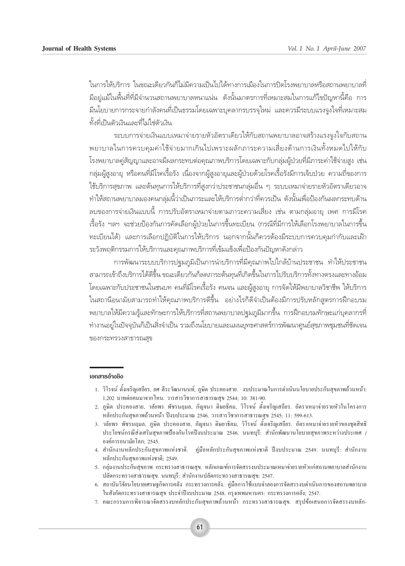ในการให้บริการ ในขณะเดียวกันก็ไม่มีความเป็นไปได้ทางการเมืองในการปิดโรงพยาบาลหรือสถานพยาบาลที่ ู้มีอยู่แม้ในพื้นที่ที่มีจำนวนสถานพยาบาลหนาแน่น ดังนั้นมาตรการที่เหมาะสมในการแก้ไขปัญหานี้คือ การ ้มีนโยบายการกระจายกำลังคนที่เป็นธรรมโดยเฉพาะบุคลากรบรรจุใหม่ และควรมีระบบแรงจูงใจที่เหมาะสม ์ทั้งที่เป็นตัวเงินและที่ไม่ใช่ตัวเงิน

้ระบบการจ่ายเงินแบบเหมาจ่ายรายหัวอัตราเดี๋ยวให้กับสถานพยาบาลอาจสร้างแรงจูงใจกับสถาน พยาบาลในการควบคุมค่าใช้จ่ายมากเกินไปเพราะผลักภาระความเสี่ยงด้านการเงินทั้งหมดไปให้กับ โรงพยาบาลค่สัญญาและอาจมีผลกระทบต่อคณภาพบริการโดยเฉพาะกับกล่มผ้ป่วยที่มีภาระค่าใช้จ่ายสง เช่น ึกลุ่มผู้สูงอายุ หรือคนที่มีโรคเรื้อรัง เนื่องจากผู้สูงอายุและผู้ป่วยด้วยโรคเรื้อรังมีการเจ็บป่วย ความถี่ของการ ใช้บริการสขภาพ และต้นทนการให้บริการที่สงกว่าประชาชนกล่มอื่น ๆ ระบบเหมาจ่ายรายหัวอัตราเดียวอาจ "ทำให้สถานพยาบาลมองคนกลุ่มนี้ว่าเป็นภาระและให้บริการต่ำกว่าที่ควรเป็น ดังนั้นเพื่อป้องกันผลกระทบด้าน จบของการจ่ายเงินแบบนี้ การปรับอัตราเหมาจ่ายตามภาวะความเสี่ยง เช่น ตามกลุ่มอายุ เพศ การมีโรค ้เรื้อรัง ฯลฯ จะช่วยป้องกันการคัดเลือกผู้ป่วยในการขึ้นทะเบียน (กรณีที่มีการให้เลือกโรงพยาบาลในการขึ้น ึทะเบียนได้) และการเลือกปฏิบัติในการให้บริการ นอกจากนั้นก็ควรต้องมีระบบการควบคุมกำกับและเฝ้า ้ระวังพฤติกรรมการให้บริการและคุณภาพบริการที่เข้มแข็งเพื่อป้องกันปัญหาดังกล่าว

การพัฒนาระบบบริการปฐมภูมิเป็นการนำบริการที่มีคุณภาพไปใกล้บ้านประชาชน ทำให้ประชาชน ี สามารถเข้าถึงบริการได้ดีขึ้น ขณะเดียวกันก็ลดภาระต้นทุนที่เกิดขึ้นในการไปรับบริการทั้งทางตรงและทางอ้อม ์ โดยเฉพาะกับประชาชนในชนบท คนที่มีโรคเรื้อรัง คนจน และผู้สูงอายุ การจัดให้มีพยาบาลวิชาชีพ ให้บริการ ในสถานีอนามัยสามารถทำให้คุณภาพบริการดีขึ้น อย่างไรก็ดีจำเป็นต้องมีการปรับหลักสูตรการฝึกอบรม พยาบาลให้มีความรู้และทักษะการให้บริการที่สถานพยาบาลปฐมภูมิมากขึ้น การฝึกอบรมทักษะแก่บุคลากรที่ ทำงานอยู่ในปัจจุบันก็เป็นสิ่งจำเป็น รวมถึงนโยบายและแผนยุทธศาสตร์การพัฒนาศูนย์สุขภาพชุมชนที่ชัดเจน ของกระทรวงสาธารณสข

#### เอกสารอ้างอิง

- 1. วิโรจน์ ตั้งเจริญเสถียร, ยศ ดีระวัฒนานนท์, ภูษิต ประกองสาย. งบประมาณในการคำเนินนโยบายประกันสุขภาพถ้วนหน้า: 1,202 บาทต่อคนมาจากไหน. วารสารวิชาการสาธารณสุข 2544; 10: 381-90.
- 2. ภูษิต ประกองสาย, วลัยพร พัชรนฤมล, กัญจนา ติษยธิคม, วิโรจน์ ตั้งเจริญเสถียร. อัตราเหมาจ่ายรายหัวในโครงการ หลักประกันสุขภาพถ้วนหน้า ปีงบประมาณ 2546. วารสารวิชาการสาธารณสุข 2545; 11: 599-613.
- 3. วลัยพร พัชรนฤมล, ภูษิต ประคองสาย, กัญจนา ติษยาธิคม, วิโรจน์ ตั้งเจริญเสถียร. อัตราเหมาจ่ายรายหัวของชุดสิทธิ ประโยชน์กรณีส่งเสริมสุขภาพป้องกันโรคปีงบประมาณ 2546. นนทบุรี: สำนักพัฒนานโยบายสุขภาพระหว่างประเทศ / ้องค์การอนามัยโลก: 2545.
- 4. สำนักงานหลักประกันสุขภาพแห่งชาติ. คู่มือหลักประกันสุขภาพแห่งชาติ ปีงบประมาณ 2549. นนทบุรี: สำนักงาน หลักประกันสุขภาพแห่งชาติ; 2549.
- 5. กลุ่มงานประกันสุขภาพ กระทรวงสาธารณสุข. หลักเกณฑ์การจัดสรรงบประมาณเหมาจ่ายรายหัวแก่สถานพยาบาลสำนักงาน ปลัดกระทรวงสาธารณสุข. นนทบุรี: สำนักงานปลัดกระทรวงสาธารณสุข; 2547.
- 6. สถาบันวิจัยนโยบายเศรษฐกิจการคลัง กระทรวงการคลัง. คู่มือการใช้แบบจำลองการจัดสรรงบคำเนินการของสถานพยาบาล ในสังกัดกระทรวงสาธารณสุข ประจำปีงบประมาณ 2548. กรุงเทพมหานคร: กระทรวงการคลัง; 2547.
- 7. คณะกรรมการพิจารณาจัคสรรงบหลักประกันสุขภาพถ้วนหน้า กระทรวงสาธารณสุข. สรุปข้อเสนอการจัคสรรงบหลัก-